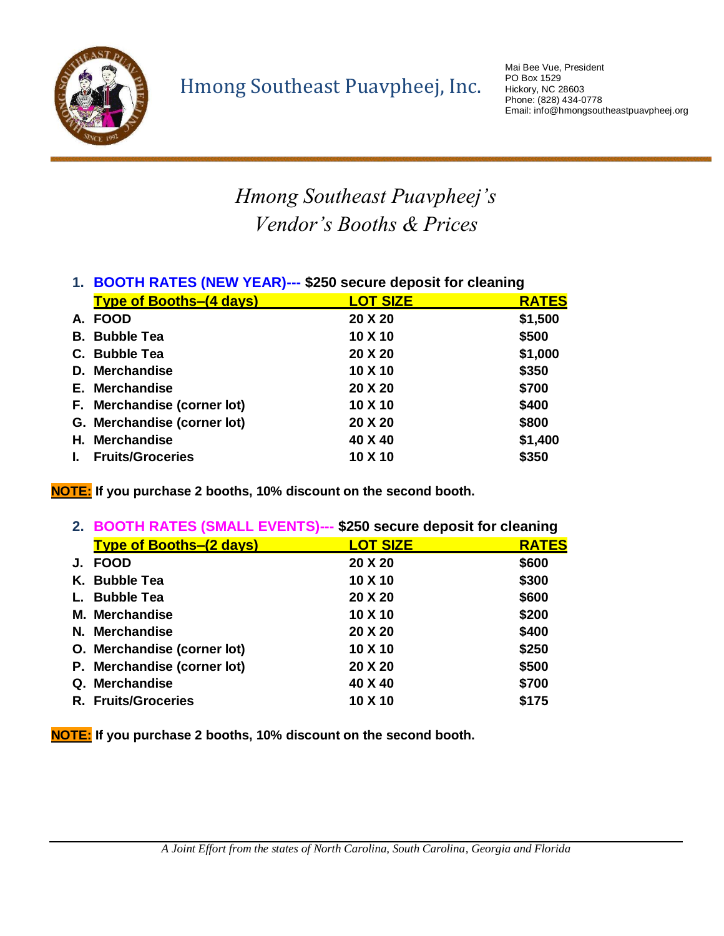

## *Hmong Southeast Puavpheej's Vendor's Booths & Prices*

| 1. BOOTH RATES (NEW TEAR)--- \$250 Secure deposit for cleaning |                 |              |
|----------------------------------------------------------------|-----------------|--------------|
| <b>Type of Booths-(4 days)</b>                                 | <b>LOT SIZE</b> | <b>RATES</b> |
| A. FOOD                                                        | 20 X 20         | \$1,500      |
| <b>B.</b> Bubble Tea                                           | 10 X 10         | \$500        |
| C. Bubble Tea                                                  | 20 X 20         | \$1,000      |
| D. Merchandise                                                 | 10 X 10         | \$350        |
| E. Merchandise                                                 | 20 X 20         | \$700        |
| F. Merchandise (corner lot)                                    | 10 X 10         | \$400        |
| G. Merchandise (corner lot)                                    | 20 X 20         | \$800        |
| H. Merchandise                                                 | 40 X 40         | \$1,400      |
| <b>Fruits/Groceries</b>                                        | 10 X 10         | \$350        |
|                                                                |                 |              |

## **1. BOOTH RATES (NEW YEAR)--- \$250 secure deposit for cleaning**

**NOTE: If you purchase 2 booths, 10% discount on the second booth.**

|    | 2. BOOTH RATES (SMALL EVENTS)--- \$250 secure deposit for cleaning |                 |              |
|----|--------------------------------------------------------------------|-----------------|--------------|
|    | <b>Type of Booths-(2 days)</b>                                     | <b>LOT SIZE</b> | <b>RATES</b> |
| J. | <b>FOOD</b>                                                        | 20 X 20         | \$600        |
|    | K. Bubble Tea                                                      | 10 X 10         | \$300        |
|    | <b>Bubble Tea</b>                                                  | 20 X 20         | \$600        |
|    | M. Merchandise                                                     | 10 X 10         | \$200        |
|    | N. Merchandise                                                     | 20 X 20         | \$400        |
|    | O. Merchandise (corner lot)                                        | 10 X 10         | \$250        |
|    | P. Merchandise (corner lot)                                        | 20 X 20         | \$500        |
|    | Q. Merchandise                                                     | 40 X 40         | \$700        |
|    | <b>R. Fruits/Groceries</b>                                         | 10 X 10         | \$175        |

**NOTE: If you purchase 2 booths, 10% discount on the second booth.**